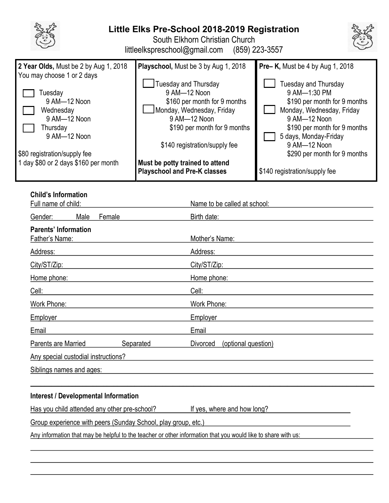

# **Little Elks Pre-School 2018-2019 Registration**

South Elkhorn Christian Church

littleelkspreschool@gmail.com (859) 223-3557



# **Child's Information**

| Full name of child:                                  |      |           | Name to be called at school:    |  |  |  |
|------------------------------------------------------|------|-----------|---------------------------------|--|--|--|
| Gender:                                              | Male | Female    | Birth date:                     |  |  |  |
| <b>Parents' Information</b><br><b>Father's Name:</b> |      |           | Mother's Name:                  |  |  |  |
| Address:                                             |      |           | Address:                        |  |  |  |
| City/ST/Zip:                                         |      |           | City/ST/Zip:                    |  |  |  |
| Home phone:                                          |      |           | Home phone:                     |  |  |  |
| Cell:                                                |      |           | Cell:                           |  |  |  |
| Work Phone:                                          |      |           | Work Phone:                     |  |  |  |
| <b>Employer</b>                                      |      |           | <b>Employer</b>                 |  |  |  |
| Email                                                |      |           | Email                           |  |  |  |
| Parents are Married                                  |      | Separated | Divorced<br>(optional question) |  |  |  |
| Any special custodial instructions?                  |      |           |                                 |  |  |  |
| Siblings names and ages:                             |      |           |                                 |  |  |  |
|                                                      |      |           |                                 |  |  |  |

## **Interest / Developmental Information**

Has you child attended any other pre-school? If yes, where and how long?

l

Group experience with peers (Sunday School, play group, etc.)

Any information that may be helpful to the teacher or other information that you would like to share with us: